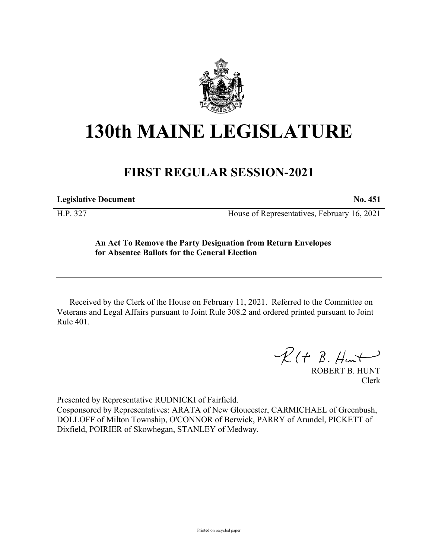

## **130th MAINE LEGISLATURE**

## **FIRST REGULAR SESSION-2021**

**Legislative Document No. 451**

H.P. 327 House of Representatives, February 16, 2021

## **An Act To Remove the Party Designation from Return Envelopes for Absentee Ballots for the General Election**

Received by the Clerk of the House on February 11, 2021. Referred to the Committee on Veterans and Legal Affairs pursuant to Joint Rule 308.2 and ordered printed pursuant to Joint Rule 401.

 $R(H B. H<sub>un</sub>+)$ 

ROBERT B. HUNT Clerk

Presented by Representative RUDNICKI of Fairfield.

Cosponsored by Representatives: ARATA of New Gloucester, CARMICHAEL of Greenbush, DOLLOFF of Milton Township, O'CONNOR of Berwick, PARRY of Arundel, PICKETT of Dixfield, POIRIER of Skowhegan, STANLEY of Medway.